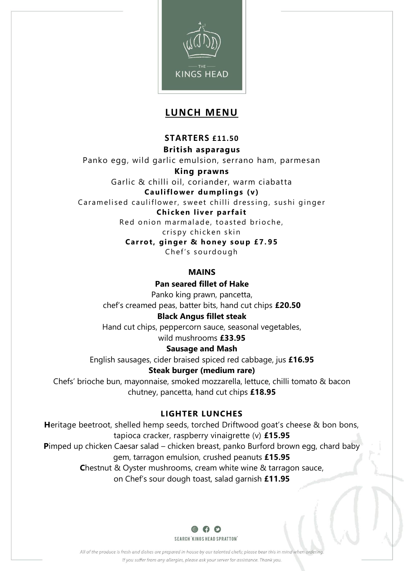

# **LUNCH MENU**

# **STARTERS £11.50**

**British asparagus**

Panko egg, wild garlic emulsion, serrano ham, parmesan

**King prawns**

Garlic & chilli oil, coriander, warm ciabatta **Ca ulifl o wer du mplin gs (v )**

Caramelised cauliflower, sweet chilli dressing, sushi ginger

## **Chi ck en liv er parfa it**

Red onion marmalade, toasted brioche,

cris py chicken skin

**Carrot, ginger & honey soup £7.95** 

Ch ef 's s ou rd ou gh

# **MAINS**

## **Pan seared fillet of Hake**

Panko king prawn, pancetta, chef's creamed peas, batter bits, hand cut chips **£20.50**

# **Black Angus fillet steak**

Hand cut chips, peppercorn sauce, seasonal vegetables, wild mushrooms **£33.95**

# **Sausage and Mash**

English sausages, cider braised spiced red cabbage, jus **£16.95**

# **Steak burger (medium rare)**

Chefs' brioche bun, mayonnaise, smoked mozzarella, lettuce, chilli tomato & bacon chutney, pancetta, hand cut chips **£18.95**

# **LIGHTER LUNCHES**

**H**eritage beetroot, shelled hemp seeds, torched Driftwood goat's cheese & bon bons, tapioca cracker, raspberry vinaigrette (v) **£15.95 P**imped up chicken Caesar salad – chicken breast, panko Burford brown egg, chard baby gem, tarragon emulsion, crushed peanuts **£15.95 C**hestnut & Oyster mushrooms, cream white wine & tarragon sauce, on Chef's sour dough toast, salad garnish **£11.95**



All of the produce is fresh and dishes are prepared in house by our talented chefs; please bear this in mind when ordering If you suffer from any allergies, please ask your server for assistance. Thank you.